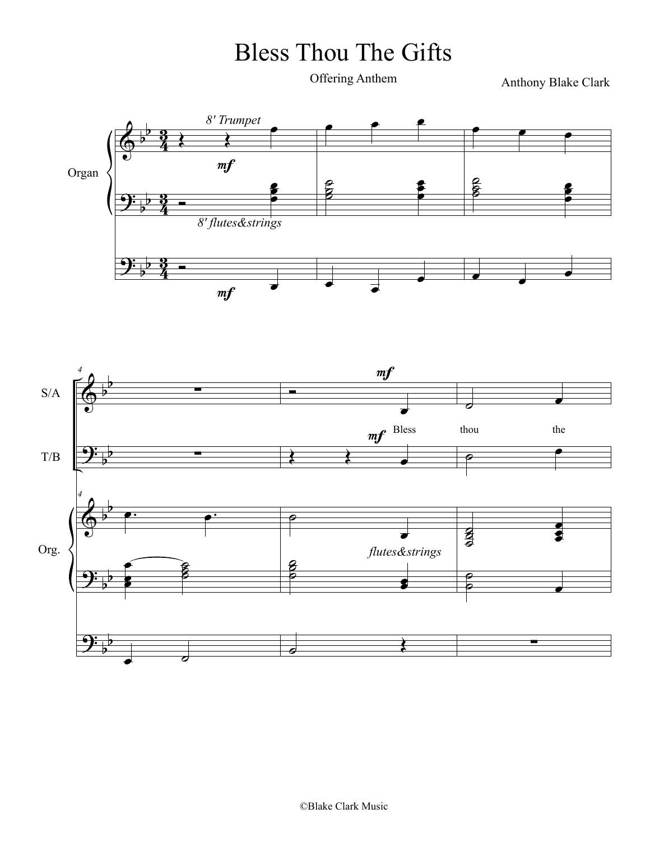## Bless Thou The Gifts

Offering Anthem

Anthony Blake Clark



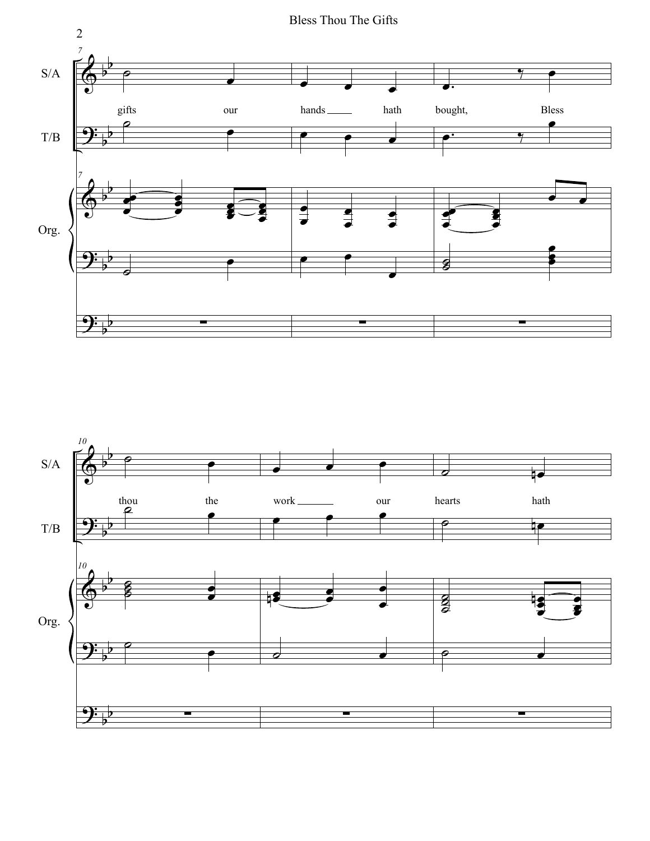

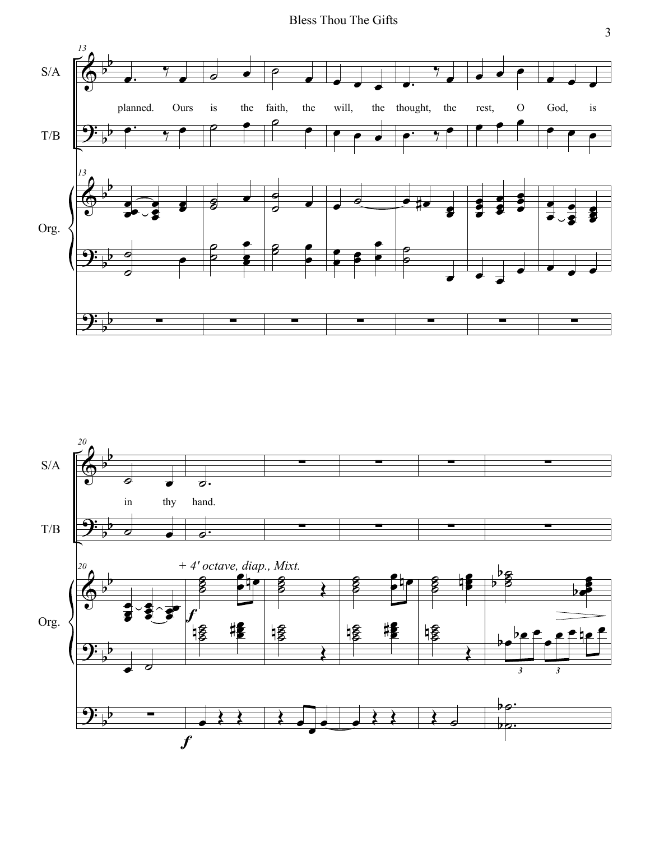

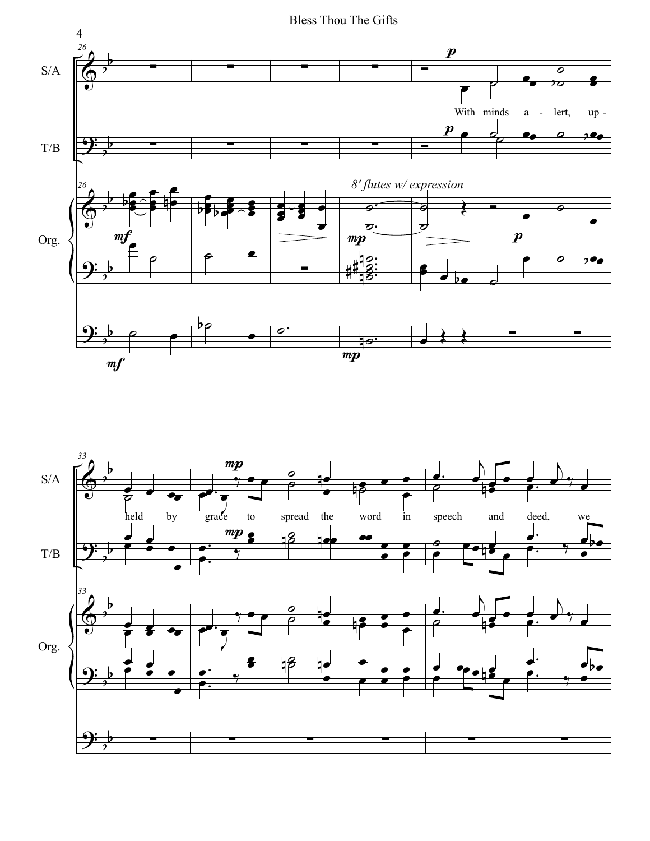

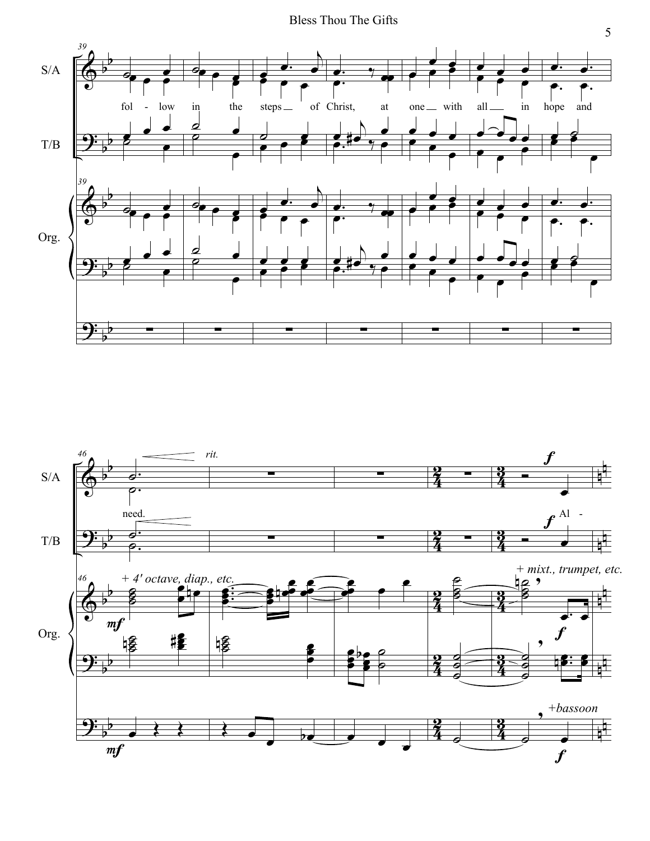

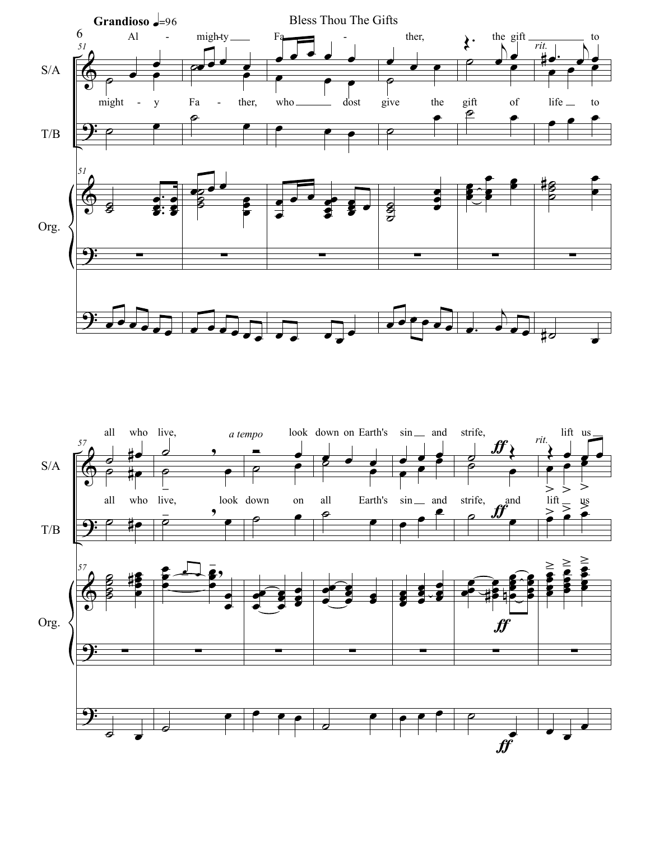